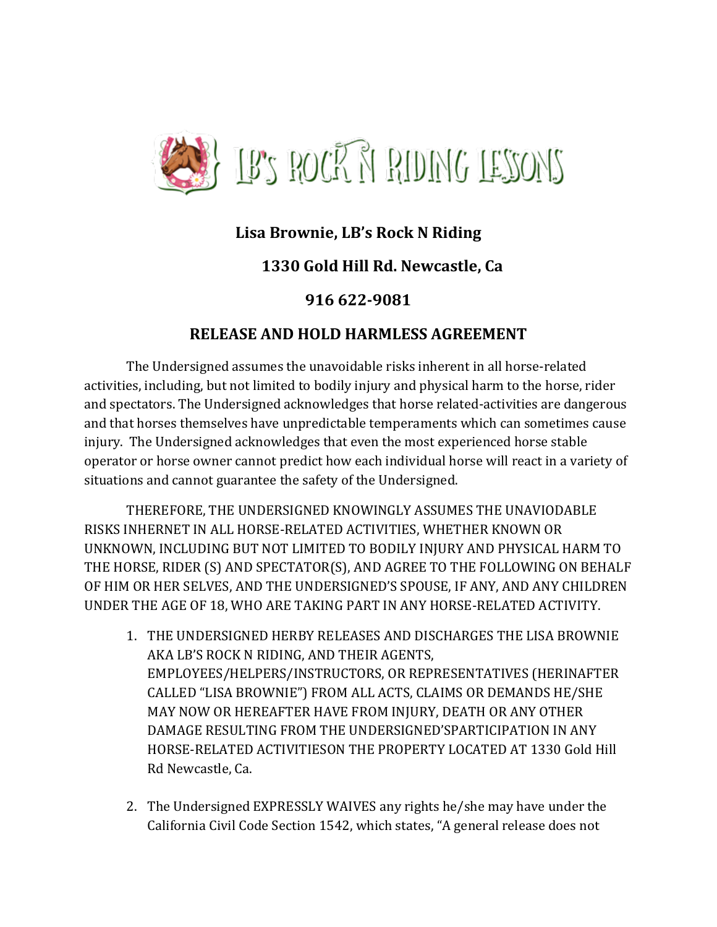

## **Lisa Brownie, LB's Rock N Riding**

## **1330 Gold Hill Rd. Newcastle, Ca**

## **916 622-9081**

## **RELEASE AND HOLD HARMLESS AGREEMENT**

The Undersigned assumes the unavoidable risks inherent in all horse-related activities, including, but not limited to bodily injury and physical harm to the horse, rider and spectators. The Undersigned acknowledges that horse related-activities are dangerous and that horses themselves have unpredictable temperaments which can sometimes cause injury. The Undersigned acknowledges that even the most experienced horse stable operator or horse owner cannot predict how each individual horse will react in a variety of situations and cannot guarantee the safety of the Undersigned.

THEREFORE, THE UNDERSIGNED KNOWINGLY ASSUMES THE UNAVIODABLE RISKS INHERNET IN ALL HORSE-RELATED ACTIVITIES, WHETHER KNOWN OR UNKNOWN, INCLUDING BUT NOT LIMITED TO BODILY INJURY AND PHYSICAL HARM TO THE HORSE, RIDER (S) AND SPECTATOR(S), AND AGREE TO THE FOLLOWING ON BEHALF OF HIM OR HER SELVES, AND THE UNDERSIGNED'S SPOUSE, IF ANY, AND ANY CHILDREN UNDER THE AGE OF 18, WHO ARE TAKING PART IN ANY HORSE-RELATED ACTIVITY.

- 1. THE UNDERSIGNED HERBY RELEASES AND DISCHARGES THE LISA BROWNIE AKA LB'S ROCK N RIDING, AND THEIR AGENTS, EMPLOYEES/HELPERS/INSTRUCTORS, OR REPRESENTATIVES (HERINAFTER CALLED "LISA BROWNIE") FROM ALL ACTS, CLAIMS OR DEMANDS HE/SHE MAY NOW OR HEREAFTER HAVE FROM INJURY, DEATH OR ANY OTHER DAMAGE RESULTING FROM THE UNDERSIGNED'SPARTICIPATION IN ANY HORSE-RELATED ACTIVITIESON THE PROPERTY LOCATED AT 1330 Gold Hill Rd Newcastle, Ca.
- 2. The Undersigned EXPRESSLY WAIVES any rights he/she may have under the California Civil Code Section 1542, which states, "A general release does not